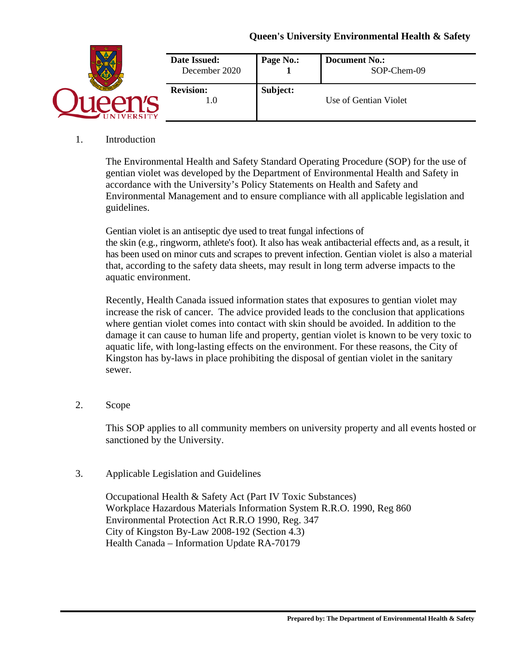## **Queen's University Environmental Health & Safety**



## 1. Introduction

The Environmental Health and Safety Standard Operating Procedure (SOP) for the use of gentian violet was developed by the Department of Environmental Health and Safety in accordance with the University's Policy Statements on Health and Safety and Environmental Management and to ensure compliance with all applicable legislation and guidelines.

Gentian violet is an antiseptic dye used to treat fungal infections of the skin (e.g., ringworm, athlete's foot). It also has weak antibacterial effects and, as a result, it has been used on minor cuts and scrapes to prevent infection. Gentian violet is also a material that, according to the safety data sheets, may result in long term adverse impacts to the aquatic environment.

Recently, Health Canada issued information states that exposures to gentian violet may increase the risk of cancer. The advice provided leads to the conclusion that applications where gentian violet comes into contact with skin should be avoided. In addition to the damage it can cause to human life and property, gentian violet is known to be very toxic to aquatic life, with long-lasting effects on the environment. For these reasons, the City of Kingston has by-laws in place prohibiting the disposal of gentian violet in the sanitary sewer.

2. Scope

This SOP applies to all community members on university property and all events hosted or sanctioned by the University.

## 3. Applicable Legislation and Guidelines

Occupational Health & Safety Act (Part IV Toxic Substances) Workplace Hazardous Materials Information System R.R.O. 1990, Reg 860 Environmental Protection Act R.R.O 1990, Reg. 347 City of Kingston By-Law 2008-192 (Section 4.3) Health Canada – Information Update RA-70179